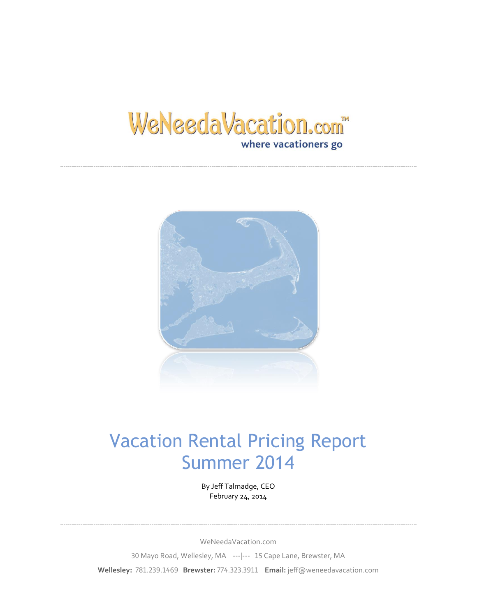## WeNeedaVacation.com where vacationers go



## Vacation Rental Pricing Report Summer 2014

By Jeff Talmadge, CEO February 24, 2014

WeNeedaVacation.com 30 Mayo Road, Wellesley, MA ---|--- 15 Cape Lane, Brewster, MA **Wellesley:** 781.239.1469 **Brewster:** 774.323.3911 **Email:** jeff@weneedavacation.com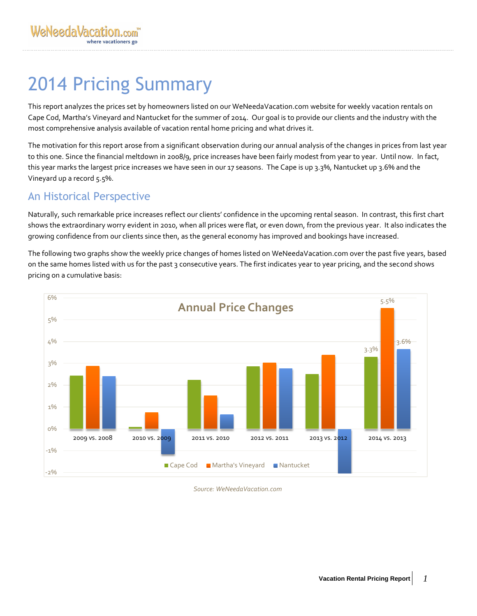# 2014 Pricing Summary

This report analyzes the prices set by homeowners listed on our WeNeedaVacation.com website for weekly vacation rentals on Cape Cod, Martha's Vineyard and Nantucket for the summer of 2014. Our goal is to provide our clients and the industry with the most comprehensive analysis available of vacation rental home pricing and what drives it.

The motivation for this report arose from a significant observation during our annual analysis of the changes in prices from last year to this one. Since the financial meltdown in 2008/9, price increases have been fairly modest from year to year. Until now. In fact, this year marks the largest price increases we have seen in our 17 seasons. The Cape is up 3.3%, Nantucket up 3.6% and the Vineyard up a record 5.5%.

## An Historical Perspective

Naturally, such remarkable price increases reflect our clients' confidence in the upcoming rental season. In contrast, this first chart shows the extraordinary worry evident in 2010, when all prices were flat, or even down, from the previous year. It also indicates the growing confidence from our clients since then, as the general economy has improved and bookings have increased.

The following two graphs show the weekly price changes of homes listed on WeNeedaVacation.com over the past five years, based on the same homes listed with us for the past 3 consecutive years. The first indicates year to year pricing, and the second shows pricing on a cumulative basis:



*Source: WeNeedaVacation.com*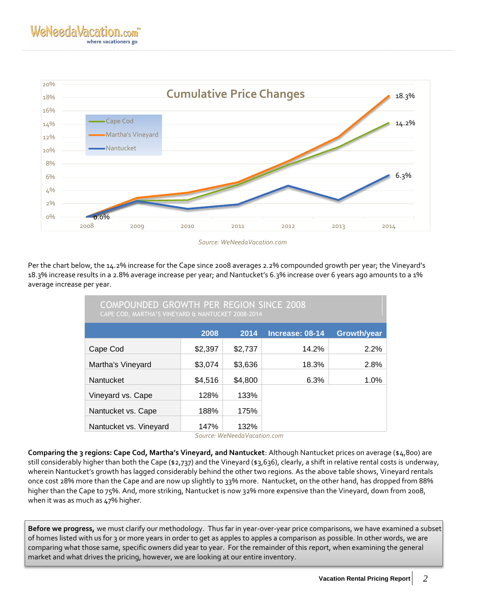

 *Source: WeNeedaVacation.com*

Per the chart below, the 14.2% increase for the Cape since 2008 averages 2.2% compounded growth per year; the Vineyard's 18.3% increase results in a 2.8% average increase per year; and Nantucket's 6.3% increase over 6 years ago amounts to a 1% average increase per year.

| COMPOUNDED GROWTH PER REGION SINCE 2008<br>CAPE COD, MARTHA'S VINEYARD & NANTUCKET 2008-2014 |         |         |                 |                    |  |  |
|----------------------------------------------------------------------------------------------|---------|---------|-----------------|--------------------|--|--|
|                                                                                              | 2008    | 2014    | Increase: 08-14 | <b>Growth/year</b> |  |  |
| Cape Cod                                                                                     | \$2,397 | \$2,737 | 14.2%           | 2.2%               |  |  |
| Martha's Vineyard                                                                            | \$3,074 | \$3,636 | 18.3%           | 2.8%               |  |  |
| Nantucket                                                                                    | \$4,516 | \$4,800 | 6.3%            | 1.0%               |  |  |
| Vineyard vs. Cape                                                                            | 128%    | 133%    |                 |                    |  |  |
| Nantucket vs. Cape                                                                           | 188%    | 175%    |                 |                    |  |  |
| Nantucket vs. Vineyard                                                                       | 147%    | 132%    |                 |                    |  |  |

 *Source: WeNeedaVacation.com*

**Comparing the 3 regions: Cape Cod, Martha's Vineyard, and Nantucket**: Although Nantucket prices on average (\$4,800) are still considerably higher than both the Cape (\$2,737) and the Vineyard (\$3,636), clearly, a shift in relative rental costs is underway, wherein Nantucket's growth has lagged considerably behind the other two regions. As the above table shows, Vineyard rentals once cost 28% more than the Cape and are now up slightly to 33% more. Nantucket, on the other hand, has dropped from 88% higher than the Cape to 75%. And, more striking, Nantucket is now 32% more expensive than the Vineyard, down from 2008, when it was as much as 47% higher.

**Before we progress,** we must clarify our methodology. Thus far in year-over-year price comparisons, we have examined a subset of homes listed with us for 3 or more years in order to get as apples to apples a comparison as possible. In other words, we are comparing what those same, specific owners did year to year. For the remainder of this report, when examining the general market and what drives the pricing, however, we are looking at our entire inventory.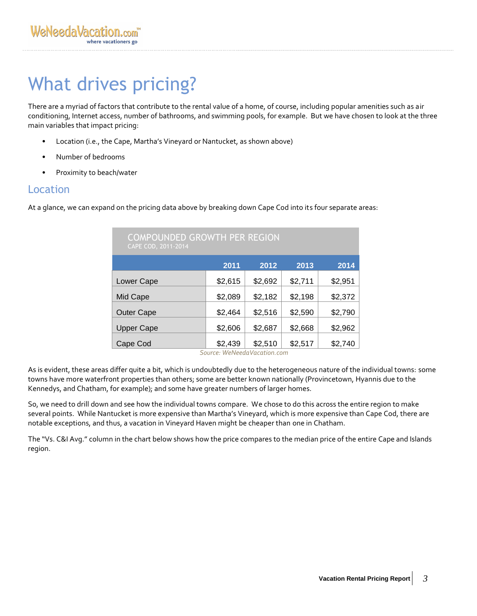# What drives pricing?

There are a myriad of factors that contribute to the rental value of a home, of course, including popular amenities such as air conditioning, Internet access, number of bathrooms, and swimming pools, for example. But we have chosen to look at the three main variables that impact pricing:

- Location (i.e., the Cape, Martha's Vineyard or Nantucket, as shown above)
- Number of bedrooms
- Proximity to beach/water

### Location

At a glance, we can expand on the pricing data above by breaking down Cape Cod into its four separate areas:

| <b>COMPOUNDED GROWTH PER REGION</b><br>CAPE COD, 2011-2014 |         |         |         |         |  |  |
|------------------------------------------------------------|---------|---------|---------|---------|--|--|
|                                                            | 2011    | 2012    | 2013    | 2014    |  |  |
| Lower Cape                                                 | \$2,615 | \$2,692 | \$2,711 | \$2,951 |  |  |
| Mid Cape                                                   | \$2,089 | \$2,182 | \$2,198 | \$2,372 |  |  |
| <b>Outer Cape</b>                                          | \$2,464 | \$2,516 | \$2,590 | \$2,790 |  |  |
| <b>Upper Cape</b>                                          | \$2,606 | \$2,687 | \$2,668 | \$2,962 |  |  |
| Cape Cod                                                   | \$2,439 | \$2,510 | \$2,517 | \$2,740 |  |  |

 *Source: WeNeedaVacation.com*

As is evident, these areas differ quite a bit, which is undoubtedly due to the heterogeneous nature of the individual towns: some towns have more waterfront properties than others; some are better known nationally (Provincetown, Hyannis due to the Kennedys, and Chatham, for example); and some have greater numbers of larger homes.

So, we need to drill down and see how the individual towns compare. We chose to do this across the entire region to make several points. While Nantucket is more expensive than Martha's Vineyard, which is more expensive than Cape Cod, there are notable exceptions, and thus, a vacation in Vineyard Haven might be cheaper than one in Chatham.

The "Vs. C&I Avg." column in the chart below shows how the price compares to the median price of the entire Cape and Islands region.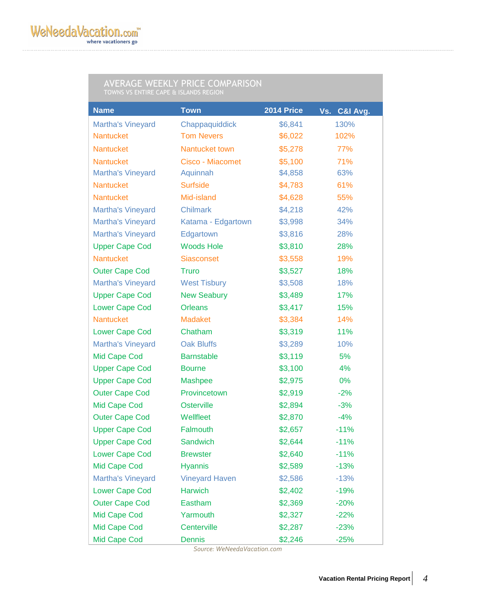#### AVERAGE WEEKLY PRICE COMPARISON TOWNS VS ENTIRE CAPE & ISLANDS REGION

| <b>Name</b>              | <b>Town</b>           | 2014 Price | C&I Avg.<br>Vs. |
|--------------------------|-----------------------|------------|-----------------|
| <b>Martha's Vineyard</b> | Chappaquiddick        | \$6,841    | 130%            |
| <b>Nantucket</b>         | <b>Tom Nevers</b>     | \$6,022    | 102%            |
| <b>Nantucket</b>         | Nantucket town        | \$5,278    | 77%             |
| <b>Nantucket</b>         | Cisco - Miacomet      | \$5,100    | 71%             |
| <b>Martha's Vineyard</b> | Aquinnah              | \$4,858    | 63%             |
| <b>Nantucket</b>         | <b>Surfside</b>       | \$4,783    | 61%             |
| <b>Nantucket</b>         | Mid-island            | \$4,628    | 55%             |
| <b>Martha's Vineyard</b> | <b>Chilmark</b>       | \$4,218    | 42%             |
| <b>Martha's Vineyard</b> | Katama - Edgartown    | \$3,998    | 34%             |
| <b>Martha's Vineyard</b> | Edgartown             | \$3,816    | 28%             |
| <b>Upper Cape Cod</b>    | <b>Woods Hole</b>     | \$3,810    | 28%             |
| <b>Nantucket</b>         | <b>Siasconset</b>     | \$3,558    | 19%             |
| <b>Outer Cape Cod</b>    | <b>Truro</b>          | \$3,527    | 18%             |
| <b>Martha's Vineyard</b> | <b>West Tisbury</b>   | \$3,508    | 18%             |
| <b>Upper Cape Cod</b>    | <b>New Seabury</b>    | \$3,489    | 17%             |
| <b>Lower Cape Cod</b>    | <b>Orleans</b>        | \$3,417    | 15%             |
| <b>Nantucket</b>         | <b>Madaket</b>        | \$3,384    | 14%             |
| <b>Lower Cape Cod</b>    | Chatham               | \$3,319    | 11%             |
| <b>Martha's Vineyard</b> | <b>Oak Bluffs</b>     | \$3,289    | 10%             |
| Mid Cape Cod             | <b>Barnstable</b>     | \$3,119    | 5%              |
| <b>Upper Cape Cod</b>    | <b>Bourne</b>         | \$3,100    | 4%              |
| <b>Upper Cape Cod</b>    | <b>Mashpee</b>        | \$2,975    | 0%              |
| <b>Outer Cape Cod</b>    | Provincetown          | \$2,919    | $-2%$           |
| Mid Cape Cod             | Osterville            | \$2,894    | $-3%$           |
| <b>Outer Cape Cod</b>    | Wellfleet             | \$2,870    | $-4%$           |
| <b>Upper Cape Cod</b>    | Falmouth              | \$2,657    | $-11%$          |
| <b>Upper Cape Cod</b>    | Sandwich              | \$2,644    | $-11%$          |
| <b>Lower Cape Cod</b>    | <b>Brewster</b>       | \$2,640    | $-11%$          |
| Mid Cape Cod             | <b>Hyannis</b>        | \$2,589    | $-13%$          |
| <b>Martha's Vineyard</b> | <b>Vineyard Haven</b> | \$2,586    | $-13%$          |
| <b>Lower Cape Cod</b>    | <b>Harwich</b>        | \$2,402    | $-19%$          |
| <b>Outer Cape Cod</b>    | Eastham               | \$2,369    | $-20%$          |
| Mid Cape Cod             | Yarmouth              | \$2,327    | $-22%$          |
| Mid Cape Cod             | Centerville           | \$2,287    | $-23%$          |
| <b>Mid Cape Cod</b>      | <b>Dennis</b>         | \$2,246    | $-25%$          |

 *Source: WeNeedaVacation.com*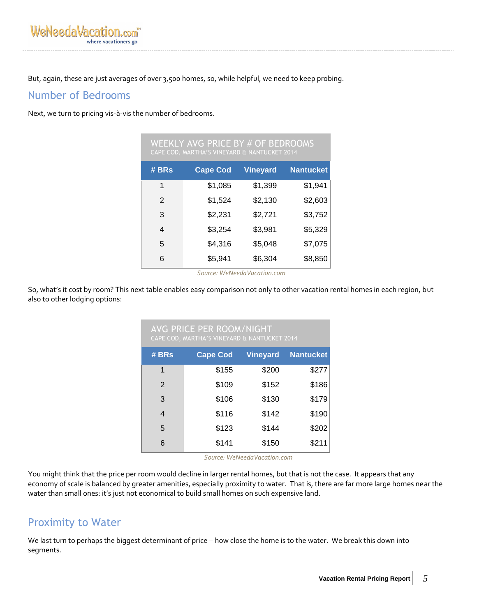But, again, these are just averages of over 3,500 homes, so, while helpful, we need to keep probing.

### Number of Bedrooms

Next, we turn to pricing vis-à-vis the number of bedrooms.

| WEEKLY AVG PRICE BY # OF BEDROOMS<br>CAPE COD, MARTHA'S VINEYARD & NANTUCKET 2014 |                 |                 |                  |  |  |
|-----------------------------------------------------------------------------------|-----------------|-----------------|------------------|--|--|
| # BRs                                                                             | <b>Cape Cod</b> | <b>Vineyard</b> | <b>Nantucket</b> |  |  |
| 1                                                                                 | \$1,085         | \$1,399         | \$1,941          |  |  |
| $\mathcal{P}$                                                                     | \$1,524         | \$2,130         | \$2,603          |  |  |
| 3                                                                                 | \$2,231         | \$2,721         | \$3,752          |  |  |
| 4                                                                                 | \$3,254         | \$3,981         | \$5,329          |  |  |
| 5                                                                                 | \$4,316         | \$5,048         | \$7,075          |  |  |
| 6                                                                                 | \$5,941         | \$6,304         | \$8,850          |  |  |

 *Source: WeNeedaVacation.com*

So, what's it cost by room? This next table enables easy comparison not only to other vacation rental homes in each region, but also to other lodging options:

| <b>AVG PRICE PER ROOM/NIGHT</b><br>CAPE COD, MARTHA'S VINEYARD & NANTUCKET 2014 |                 |                 |                  |  |  |  |
|---------------------------------------------------------------------------------|-----------------|-----------------|------------------|--|--|--|
| # BRs                                                                           | <b>Cape Cod</b> | <b>Vineyard</b> | <b>Nantucket</b> |  |  |  |
| 1                                                                               | \$155           | \$200           | \$277            |  |  |  |
| 2                                                                               | \$109           | \$152           | \$186            |  |  |  |
| 3                                                                               | \$106           | \$130           | \$179            |  |  |  |
| $\overline{4}$                                                                  | \$116           | \$142           | \$190            |  |  |  |
| 5                                                                               | \$123           | \$144           | \$202            |  |  |  |
| 6                                                                               | \$141           | \$150           | \$211            |  |  |  |

 *Source: WeNeedaVacation.com*

You might think that the price per room would decline in larger rental homes, but that is not the case. It appears that any economy of scale is balanced by greater amenities, especially proximity to water. That is, there are far more large homes near the water than small ones: it's just not economical to build small homes on such expensive land.

## Proximity to Water

We last turn to perhaps the biggest determinant of price – how close the home is to the water. We break this down into segments.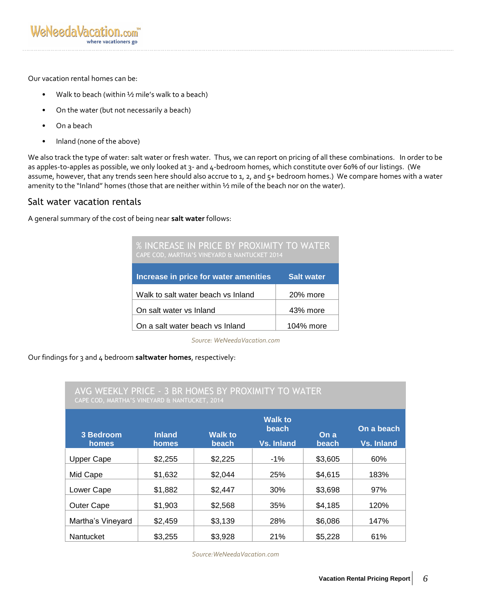Our vacation rental homes can be:

- Walk to beach (within  $\frac{1}{2}$  mile's walk to a beach)
- On the water (but not necessarily a beach)
- On a beach
- Inland (none of the above)

We also track the type of water: salt water or fresh water. Thus, we can report on pricing of all these combinations. In order to be as apples-to-apples as possible, we only looked at 3- and 4-bedroom homes, which constitute over 60% of our listings. (We assume, however, that any trends seen here should also accrue to 1, 2, and 5+ bedroom homes.) We compare homes with a water amenity to the "Inland" homes (those that are neither within 1/2 mile of the beach nor on the water).

#### Salt water vacation rentals

A general summary of the cost of being near **salt water** follows:

| <b>% INCREASE IN PRICE BY PROXIMITY TO WATER</b><br>CAPE COD, MARTHA'S VINEYARD & NANTUCKET 2014 |                   |  |  |  |
|--------------------------------------------------------------------------------------------------|-------------------|--|--|--|
| <b>Increase in price for water amenities</b>                                                     | <b>Salt water</b> |  |  |  |
| Walk to salt water beach vs Inland                                                               | 20% more          |  |  |  |
| On salt water vs Inland                                                                          | 43% more          |  |  |  |
| On a salt water beach vs Inland                                                                  | 104% more         |  |  |  |

*Source: WeNeedaVacation.com*

Our findings for 3 and 4 bedroom **saltwater homes**, respectively:

#### AVG WEEKLY PRICE - 3 BR HOMES BY PROXIMITY TO WATER CAPE COD, MARTHA'S VINEYARD & NANTUCKET, 2014

| 3 Bedroom<br>homes | <b>Inland</b><br>homes | <b>Walk to</b><br><b>beach</b> | <b>Walk to</b><br>beach<br>Vs. Inland | On a<br>beach | On a beach<br>Vs. Inland |
|--------------------|------------------------|--------------------------------|---------------------------------------|---------------|--------------------------|
| Upper Cape         | \$2,255                | \$2,225                        | $-1\%$                                | \$3,605       | 60%                      |
| Mid Cape           | \$1,632                | \$2,044                        | 25%                                   | \$4,615       | 183%                     |
| Lower Cape         | \$1,882                | \$2,447                        | 30%                                   | \$3,698       | 97%                      |
| Outer Cape         | \$1,903                | \$2,568                        | 35%                                   | \$4,185       | 120%                     |
| Martha's Vineyard  | \$2,459                | \$3,139                        | 28%                                   | \$6,086       | 147%                     |
| Nantucket          | \$3,255                | \$3,928                        | 21%                                   | \$5,228       | 61%                      |

*Source:WeNeedaVacation.com*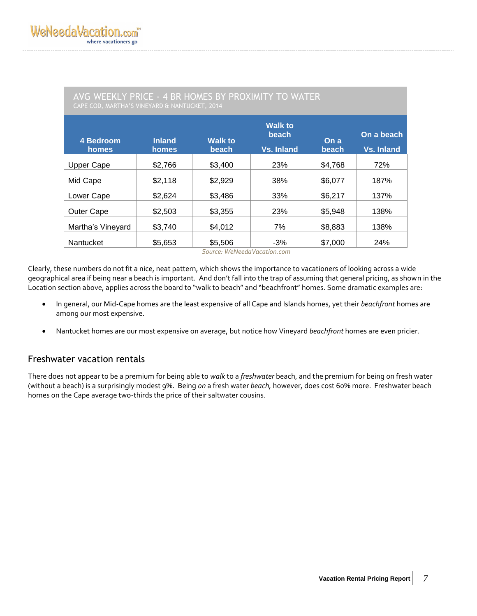| CAPE COD, MARTHA'S VINEYARD & NANTUCKET, 2014 |                        |                         |                                              |               |                          |  |
|-----------------------------------------------|------------------------|-------------------------|----------------------------------------------|---------------|--------------------------|--|
| 4 Bedroom<br>homes                            | <b>Inland</b><br>homes | <b>Walk to</b><br>beach | <b>Walk to</b><br>beach<br><b>Vs. Inland</b> | On a<br>beach | On a beach<br>Vs. Inland |  |
| <b>Upper Cape</b>                             | \$2,766                | \$3,400                 | 23%                                          | \$4,768       | 72%                      |  |
| Mid Cape                                      | \$2,118                | \$2,929                 | 38%                                          | \$6,077       | 187%                     |  |
| Lower Cape                                    | \$2,624                | \$3,486                 | 33%                                          | \$6,217       | 137%                     |  |
| <b>Outer Cape</b>                             | \$2,503                | \$3,355                 | 23%                                          | \$5,948       | 138%                     |  |
| Martha's Vineyard                             | \$3,740                | \$4,012                 | 7%                                           | \$8,883       | 138%                     |  |
| Nantucket                                     | \$5,653                | \$5,506                 | $-3%$                                        | \$7,000       | 24%                      |  |

AVG WEEKLY PRICE - 4 BR HOMES BY PROXIMITY TO WATER

 *Source: WeNeedaVacation.com*

Clearly, these numbers do not fit a nice, neat pattern, which shows the importance to vacationers of looking across a wide geographical area if being near a beach is important. And don't fall into the trap of assuming that general pricing, as shown in the Location section above, applies across the board to "walk to beach" and "beachfront" homes. Some dramatic examples are:

- In general, our Mid-Cape homes are the least expensive of all Cape and Islands homes, yet their *beachfront* homes are among our most expensive.
- Nantucket homes are our most expensive on average, but notice how Vineyard *beachfront* homes are even pricier.

#### Freshwater vacation rentals

There does not appear to be a premium for being able to *walk* to a *freshwater* beach, and the premium for being on fresh water (without a beach) is a surprisingly modest 9%. Being *on* a fresh water *beach,* however, does cost 60% more. Freshwater beach homes on the Cape average two-thirds the price of their saltwater cousins.